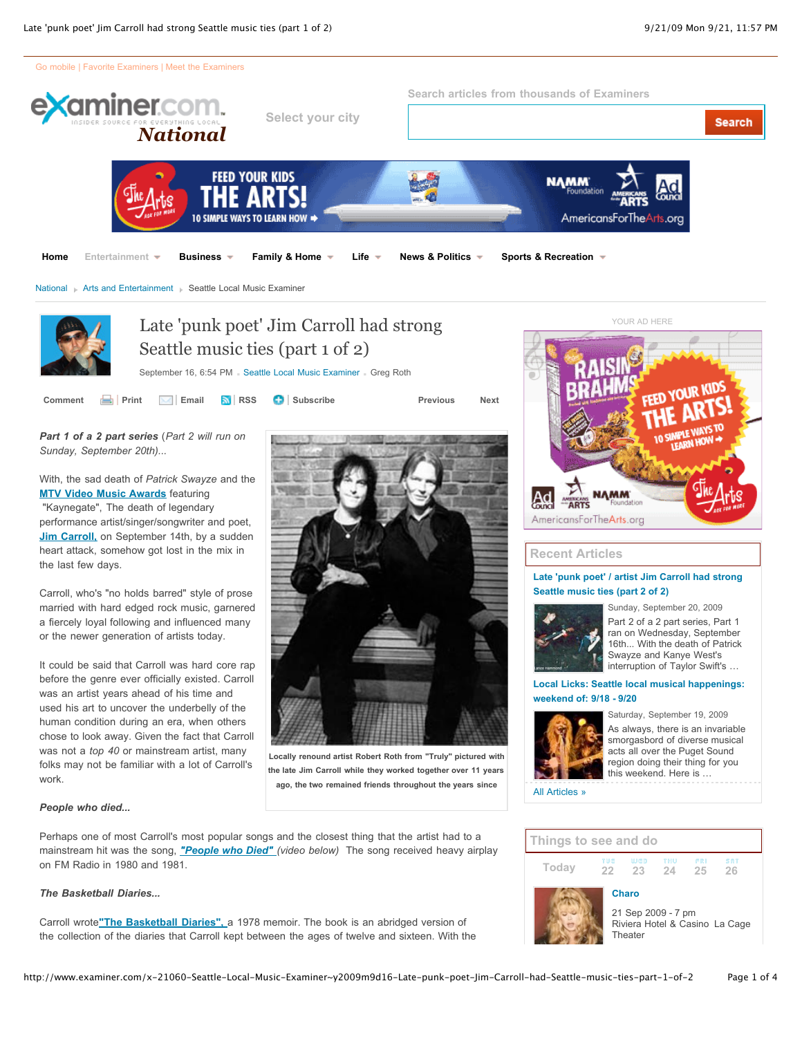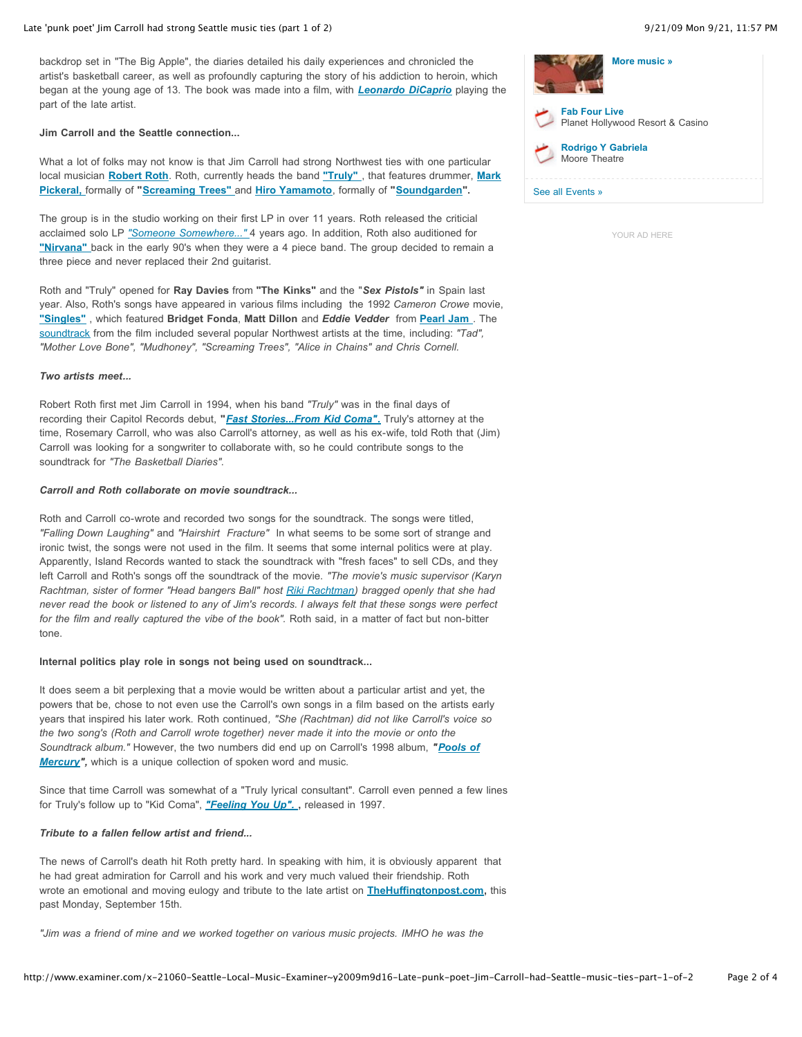#### Late 'punk poet' Jim Carroll had strong Seattle music ties (part 1 of 2) 8/21/09 Mon 9/21, 11:57 PM

backdrop set in "The Big Apple", the diaries detailed his daily experiences and chronicled the artist's basketball career, as well as profoundly capturing the story of his addiction to heroin, which began at the young age of 13. The book was made into a film, with *Leonardo DiCaprio* playing the part of the late artist.

## **Jim Carroll and the Seattle connection...**

What a lot of folks may not know is that Jim Carroll had strong Northwest ties with one particular local musician **Robert Roth**. Roth, currently heads the band **"Truly"** , that features drummer, **Mark Pickeral,** formally of **"Screaming Trees"** and **Hiro Yamamoto**, formally of **"Soundgarden".**

The group is in the studio working on their first LP in over 11 years. Roth released the criticial acclaimed solo LP *"Someone Somewhere..."* 4 years ago. In addition, Roth also auditioned for **"Nirvana"** back in the early 90's when they were a 4 piece band. The group decided to remain a three piece and never replaced their 2nd guitarist.

Roth and "Truly" opened for **Ray Davies** from **"The Kinks"** and the "*Sex Pistols"* in Spain last year. Also, Roth's songs have appeared in various films including the 1992 *Cameron Crowe* movie, **"Singles"** , which featured **Bridget Fonda**, **Matt Dillon** and *Eddie Vedder* from **Pearl Jam** . The soundtrack from the film included several popular Northwest artists at the time, including: *"Tad", "Mother Love Bone", "Mudhoney", "Screaming Trees", "Alice in Chains" and Chris Cornell.* 

## *Two artists meet...*

Robert Roth first met Jim Carroll in 1994, when his band *"Truly"* was in the final days of recording their Capitol Records debut, **"***Fast Stories...From Kid Coma"***.** Truly's attorney at the time, Rosemary Carroll, who was also Carroll's attorney, as well as his ex-wife, told Roth that (Jim) Carroll was looking for a songwriter to collaborate with, so he could contribute songs to the soundtrack for *"The Basketball Diaries".*

### *Carroll and Roth collaborate on movie soundtrack...*

Roth and Carroll co-wrote and recorded two songs for the soundtrack. The songs were titled, *"Falling Down Laughing"* and *"Hairshirt Fracture"* In what seems to be some sort of strange and ironic twist, the songs were not used in the film. It seems that some internal politics were at play. Apparently, Island Records wanted to stack the soundtrack with "fresh faces" to sell CDs, and they left Carroll and Roth's songs off the soundtrack of the movie. *"The movie's music supervisor (Karyn Rachtman, sister of former "Head bangers Ball" host Riki Rachtman) bragged openly that she had never read the book or listened to any of Jim's records. I always felt that these songs were perfect* for the film and really captured the vibe of the book". Roth said, in a matter of fact but non-bitter tone.

### **Internal politics play role in songs not being used on soundtrack...**

It does seem a bit perplexing that a movie would be written about a particular artist and yet, the powers that be, chose to not even use the Carroll's own songs in a film based on the artists early years that inspired his later work. Roth continued*, "She (Rachtman) did not like Carroll's voice so the two song's (Roth and Carroll wrote together) never made it into the movie or onto the Soundtrack album."* However, the two numbers did end up on Carroll's 1998 album, *"Pools of Mercury",* which is a unique collection of spoken word and music.

Since that time Carroll was somewhat of a "Truly lyrical consultant". Carroll even penned a few lines for Truly's follow up to "Kid Coma", *"Feeling You Up".* **,** released in 1997.

## *Tribute to a fallen fellow artist and friend...*

The news of Carroll's death hit Roth pretty hard. In speaking with him, it is obviously apparent that he had great admiration for Carroll and his work and very much valued their friendship. Roth wrote an emotional and moving eulogy and tribute to the late artist on **TheHuffingtonpost.com,** this past Monday, September 15th.

*"Jim was a friend of mine and we worked together on various music projects. IMHO he was the*

| More music »                                             |  |  |
|----------------------------------------------------------|--|--|
| <b>Fab Four Live</b><br>Planet Hollywood Resort & Casino |  |  |
| <b>Rodrigo Y Gabriela</b><br>Moore Theatre               |  |  |
| See all Events »                                         |  |  |

YOUR AD HERE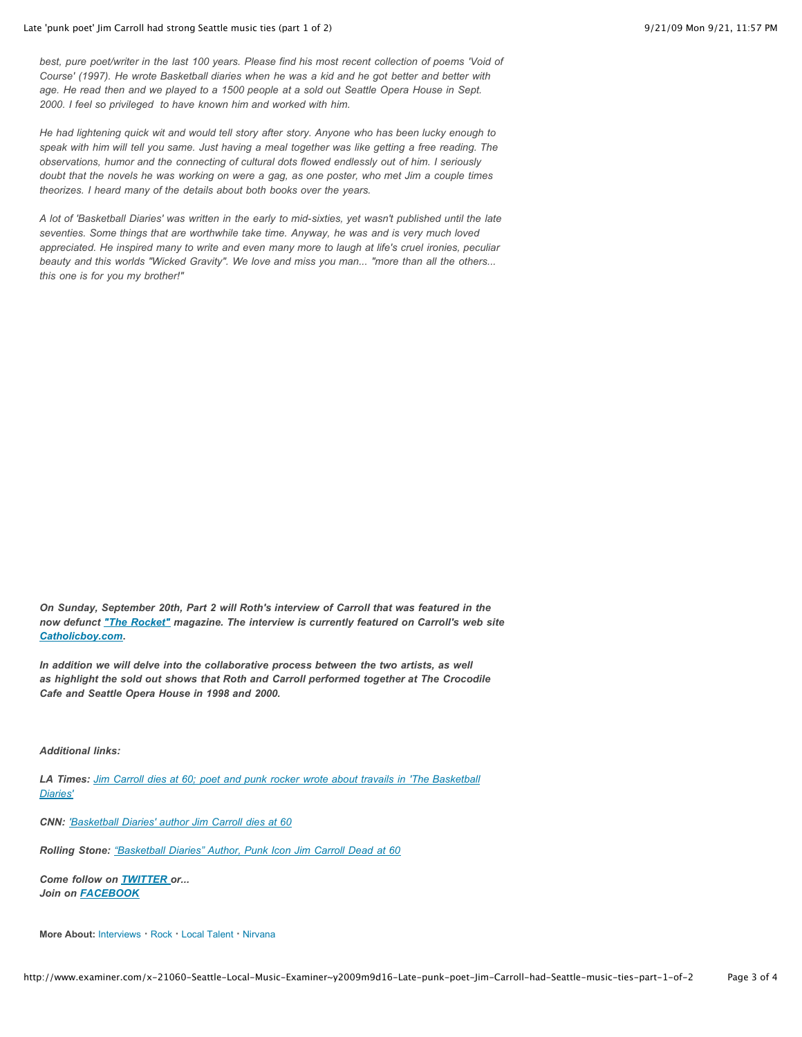*best, pure poet/writer in the last 100 years. Please find his most recent collection of poems 'Void of Course' (1997). He wrote Basketball diaries when he was a kid and he got better and better with age. He read then and we played to a 1500 people at a sold out Seattle Opera House in Sept. 2000. I feel so privileged to have known him and worked with him.*

*He had lightening quick wit and would tell story after story. Anyone who has been lucky enough to speak with him will tell you same. Just having a meal together was like getting a free reading. The observations, humor and the connecting of cultural dots flowed endlessly out of him. I seriously doubt that the novels he was working on were a gag, as one poster, who met Jim a couple times theorizes. I heard many of the details about both books over the years.*

*A lot of 'Basketball Diaries' was written in the early to mid-sixties, yet wasn't published until the late seventies. Some things that are worthwhile take time. Anyway, he was and is very much loved appreciated. He inspired many to write and even many more to laugh at life's cruel ironies, peculiar beauty and this worlds "Wicked Gravity". We love and miss you man... "more than all the others... this one is for you my brother!"*

*On Sunday, September 20th, Part 2 will Roth's interview of Carroll that was featured in the now defunct "The Rocket" magazine. The interview is currently featured on Carroll's web site Catholicboy.com***.**

In addition we will delve into the collaborative process between the two artists, as well *as highlight the sold out shows that Roth and Carroll performed together at The Crocodile Cafe and Seattle Opera House in 1998 and 2000.*

*Additional links:*

*LA Times: Jim Carroll dies at 60; poet and punk rocker wrote about travails in 'The Basketball Diaries'*

*CNN: 'Basketball Diaries' author Jim Carroll dies at 60*

*Rolling Stone: "Basketball Diaries" Author, Punk Icon Jim Carroll Dead at 60*

*Come follow on TWITTER or... Join on FACEBOOK*

**More About:** Interviews **!** Rock **!** Local Talent **!** Nirvana